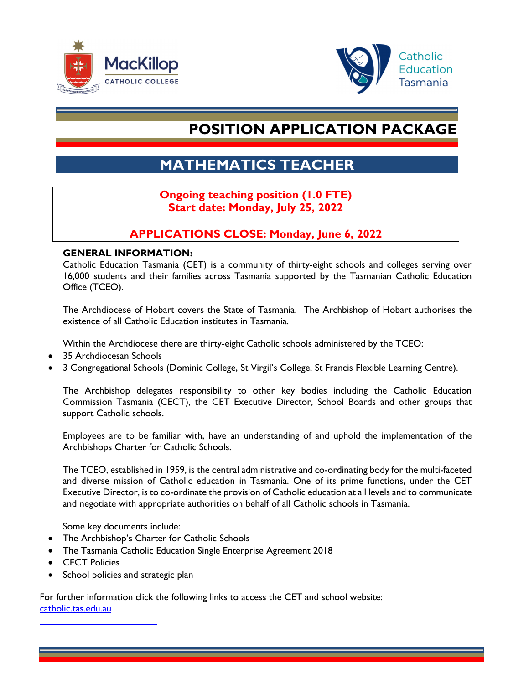



# **POSITION APPLICATION PACKAGE**

## **MATHEMATICS TEACHER**

## **Ongoing teaching position (1.0 FTE) Start date: Monday, July 25, 2022**

## **APPLICATIONS CLOSE: Monday, June 6, 2022**

### **GENERAL INFORMATION:**

Catholic Education Tasmania (CET) is a community of thirty-eight schools and colleges serving over 16,000 students and their families across Tasmania supported by the Tasmanian Catholic Education Office (TCEO).

The Archdiocese of Hobart covers the State of Tasmania. The Archbishop of Hobart authorises the existence of all Catholic Education institutes in Tasmania.

Within the Archdiocese there are thirty-eight Catholic schools administered by the TCEO:

- 35 Archdiocesan Schools
- 3 Congregational Schools (Dominic College, St Virgil's College, St Francis Flexible Learning Centre).

The Archbishop delegates responsibility to other key bodies including the Catholic Education Commission Tasmania (CECT), the CET Executive Director, School Boards and other groups that support Catholic schools.

Employees are to be familiar with, have an understanding of and uphold the implementation of the Archbishops Charter for Catholic Schools.

The TCEO, established in 1959, is the central administrative and co-ordinating body for the multi-faceted and diverse mission of Catholic education in Tasmania. One of its prime functions, under the CET Executive Director, is to co-ordinate the provision of Catholic education at all levels and to communicate and negotiate with appropriate authorities on behalf of all Catholic schools in Tasmania.

Some key documents include:

- The Archbishop's Charter for Catholic Schools
- The Tasmania Catholic Education Single Enterprise Agreement 2018
- **•** CECT Policies
- School policies and strategic plan

For further information click the following links to access the CET and school website: catholic.tas.edu.au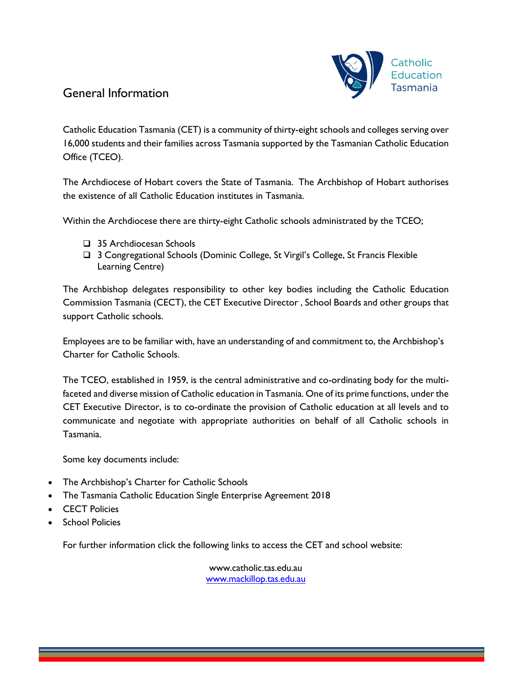

## General Information

Catholic Education Tasmania (CET) is a community of thirty-eight schools and colleges serving over 16,000 students and their families across Tasmania supported by the Tasmanian Catholic Education Office (TCEO).

The Archdiocese of Hobart covers the State of Tasmania. The Archbishop of Hobart authorises the existence of all Catholic Education institutes in Tasmania.

Within the Archdiocese there are thirty-eight Catholic schools administrated by the TCEO;

- □ 35 Archdiocesan Schools
- 3 Congregational Schools (Dominic College, St Virgil's College, St Francis Flexible Learning Centre)

The Archbishop delegates responsibility to other key bodies including the Catholic Education Commission Tasmania (CECT), the CET Executive Director , School Boards and other groups that support Catholic schools.

Employees are to be familiar with, have an understanding of and commitment to, the Archbishop's Charter for Catholic Schools.

The TCEO, established in 1959, is the central administrative and co-ordinating body for the multifaceted and diverse mission of Catholic education in Tasmania. One of its prime functions, under the CET Executive Director, is to co-ordinate the provision of Catholic education at all levels and to communicate and negotiate with appropriate authorities on behalf of all Catholic schools in Tasmania.

Some key documents include:

- The Archbishop's Charter for Catholic Schools
- The Tasmania Catholic Education Single Enterprise Agreement 2018
- CECT Policies
- School Policies

For further information click the following links to access the CET and school website:

www.catholic.tas.edu.au www.mackillop.tas.edu.au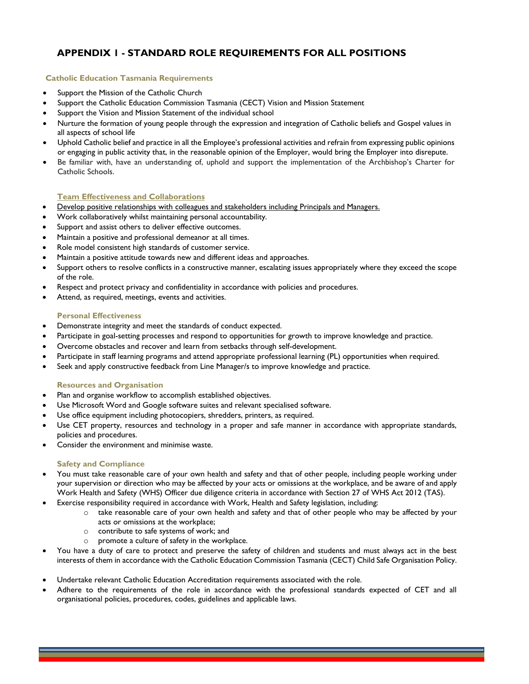### **APPENDIX 1 - STANDARD ROLE REQUIREMENTS FOR ALL POSITIONS**

#### **Catholic Education Tasmania Requirements**

- Support the Mission of the Catholic Church
- Support the Catholic Education Commission Tasmania (CECT) Vision and Mission Statement
- Support the Vision and Mission Statement of the individual school
- Nurture the formation of young people through the expression and integration of Catholic beliefs and Gospel values in all aspects of school life
- Uphold Catholic belief and practice in all the Employee's professional activities and refrain from expressing public opinions or engaging in public activity that, in the reasonable opinion of the Employer, would bring the Employer into disrepute.
- Be familiar with, have an understanding of, uphold and support the implementation of the Archbishop's Charter for Catholic Schools.

#### **Team Effectiveness and Collaborations**

- Develop positive relationships with colleagues and stakeholders including Principals and Managers.
- Work collaboratively whilst maintaining personal accountability.
- Support and assist others to deliver effective outcomes.
- Maintain a positive and professional demeanor at all times.
- Role model consistent high standards of customer service.
- Maintain a positive attitude towards new and different ideas and approaches.
- Support others to resolve conflicts in a constructive manner, escalating issues appropriately where they exceed the scope of the role.
- Respect and protect privacy and confidentiality in accordance with policies and procedures.
- Attend, as required, meetings, events and activities.

#### **Personal Effectiveness**

- Demonstrate integrity and meet the standards of conduct expected.
- Participate in goal-setting processes and respond to opportunities for growth to improve knowledge and practice.
- Overcome obstacles and recover and learn from setbacks through self-development.
- Participate in staff learning programs and attend appropriate professional learning (PL) opportunities when required.
- Seek and apply constructive feedback from Line Manager/s to improve knowledge and practice.

#### **Resources and Organisation**

- Plan and organise workflow to accomplish established objectives.
- Use Microsoft Word and Google software suites and relevant specialised software.
- Use office equipment including photocopiers, shredders, printers, as required.
- Use CET property, resources and technology in a proper and safe manner in accordance with appropriate standards, policies and procedures.
- Consider the environment and minimise waste.

#### **Safety and Compliance**

- You must take reasonable care of your own health and safety and that of other people, including people working under your supervision or direction who may be affected by your acts or omissions at the workplace, and be aware of and apply Work Health and Safety (WHS) Officer due diligence criteria in accordance with Section 27 of WHS Act 2012 (TAS).
- Exercise responsibility required in accordance with Work, Health and Safety legislation, including:
	- o take reasonable care of your own health and safety and that of other people who may be affected by your acts or omissions at the workplace;
	- o contribute to safe systems of work; and
	- o promote a culture of safety in the workplace.
- You have a duty of care to protect and preserve the safety of children and students and must always act in the best interests of them in accordance with the Catholic Education Commission Tasmania (CECT) Child Safe Organisation Policy.
- Undertake relevant Catholic Education Accreditation requirements associated with the role.
- Adhere to the requirements of the role in accordance with the professional standards expected of CET and all organisational policies, procedures, codes, guidelines and applicable laws.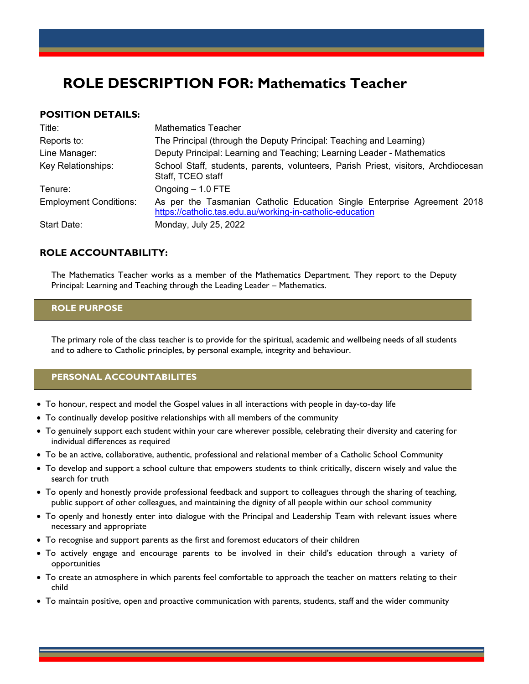## **ROLE DESCRIPTION FOR: Mathematics Teacher**

#### **POSITION DETAILS:**

| Title:                        | <b>Mathematics Teacher</b>                                                                                                            |
|-------------------------------|---------------------------------------------------------------------------------------------------------------------------------------|
| Reports to:                   | The Principal (through the Deputy Principal: Teaching and Learning)                                                                   |
| Line Manager:                 | Deputy Principal: Learning and Teaching; Learning Leader - Mathematics                                                                |
| Key Relationships:            | School Staff, students, parents, volunteers, Parish Priest, visitors, Archdiocesan<br>Staff, TCEO staff                               |
| Tenure:                       | Ongoing $-1.0$ FTE                                                                                                                    |
| <b>Employment Conditions:</b> | As per the Tasmanian Catholic Education Single Enterprise Agreement 2018<br>https://catholic.tas.edu.au/working-in-catholic-education |
| Start Date:                   | Monday, July 25, 2022                                                                                                                 |

#### **ROLE ACCOUNTABILITY:**

The Mathematics Teacher works as a member of the Mathematics Department. They report to the Deputy Principal: Learning and Teaching through the Leading Leader – Mathematics.

#### **ROLE PURPOSE**

The primary role of the class teacher is to provide for the spiritual, academic and wellbeing needs of all students and to adhere to Catholic principles, by personal example, integrity and behaviour.

#### **PERSONAL ACCOUNTABILITES**

- To honour, respect and model the Gospel values in all interactions with people in day-to-day life
- To continually develop positive relationships with all members of the community
- To genuinely support each student within your care wherever possible, celebrating their diversity and catering for individual differences as required
- To be an active, collaborative, authentic, professional and relational member of a Catholic School Community
- To develop and support a school culture that empowers students to think critically, discern wisely and value the search for truth
- To openly and honestly provide professional feedback and support to colleagues through the sharing of teaching, public support of other colleagues, and maintaining the dignity of all people within our school community
- To openly and honestly enter into dialogue with the Principal and Leadership Team with relevant issues where necessary and appropriate
- To recognise and support parents as the first and foremost educators of their children
- To actively engage and encourage parents to be involved in their child's education through a variety of opportunities
- To create an atmosphere in which parents feel comfortable to approach the teacher on matters relating to their child
- To maintain positive, open and proactive communication with parents, students, staff and the wider community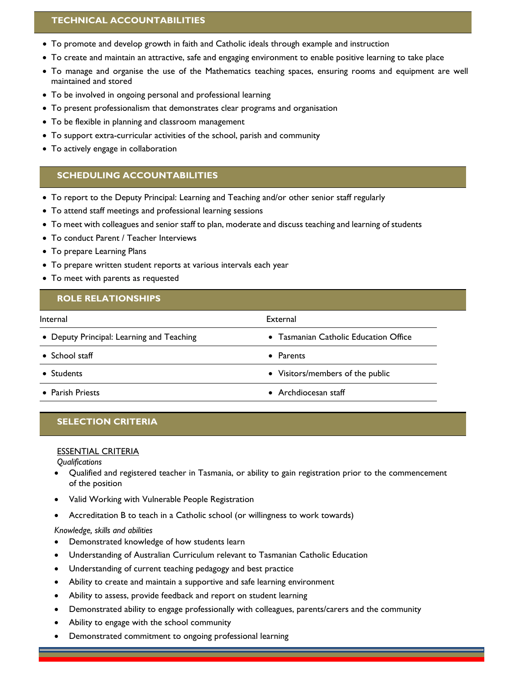#### **TECHNICAL ACCOUNTABILITIES**

- To promote and develop growth in faith and Catholic ideals through example and instruction
- To create and maintain an attractive, safe and engaging environment to enable positive learning to take place
- To manage and organise the use of the Mathematics teaching spaces, ensuring rooms and equipment are well maintained and stored
- To be involved in ongoing personal and professional learning
- To present professionalism that demonstrates clear programs and organisation
- To be flexible in planning and classroom management
- To support extra-curricular activities of the school, parish and community
- To actively engage in collaboration

#### **SCHEDULING ACCOUNTABILITIES**

- To report to the Deputy Principal: Learning and Teaching and/or other senior staff regularly
- To attend staff meetings and professional learning sessions
- To meet with colleagues and senior staff to plan, moderate and discuss teaching and learning of students
- To conduct Parent / Teacher Interviews
- To prepare Learning Plans
- To prepare written student reports at various intervals each year
- To meet with parents as requested

#### **ROLE RELATIONSHIPS**

| Internal                                  | External                              |  |
|-------------------------------------------|---------------------------------------|--|
| • Deputy Principal: Learning and Teaching | • Tasmanian Catholic Education Office |  |
| $\bullet$ School staff                    | • Parents                             |  |
| • Students                                | • Visitors/members of the public      |  |
| • Parish Priests                          | • Archdiocesan staff                  |  |

#### **SELECTION CRITERIA**

#### ESSENTIAL CRITERIA

*Qualifications* 

- Qualified and registered teacher in Tasmania, or ability to gain registration prior to the commencement of the position
- Valid Working with Vulnerable People Registration
- Accreditation B to teach in a Catholic school (or willingness to work towards)

#### *Knowledge, skills and abilities*

- Demonstrated knowledge of how students learn
- Understanding of Australian Curriculum relevant to Tasmanian Catholic Education
- Understanding of current teaching pedagogy and best practice
- Ability to create and maintain a supportive and safe learning environment
- Ability to assess, provide feedback and report on student learning
- Demonstrated ability to engage professionally with colleagues, parents/carers and the community
- Ability to engage with the school community
- Demonstrated commitment to ongoing professional learning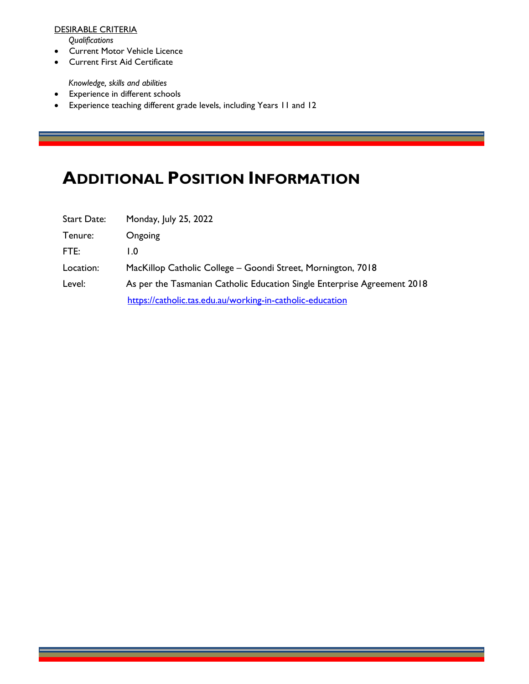#### DESIRABLE CRITERIA

*Qualifications* 

- Current Motor Vehicle Licence
- Current First Aid Certificate

*Knowledge, skills and abilities* 

- Experience in different schools
- Experience teaching different grade levels, including Years 11 and 12

# **ADDITIONAL POSITION INFORMATION**

| <b>Start Date:</b> | Monday, July 25, 2022                                                    |
|--------------------|--------------------------------------------------------------------------|
| Tenure:            | Ongoing                                                                  |
| FTE:               | L.O                                                                      |
| Location:          | MacKillop Catholic College – Goondi Street, Mornington, 7018             |
| Level:             | As per the Tasmanian Catholic Education Single Enterprise Agreement 2018 |
|                    | https://catholic.tas.edu.au/working-in-catholic-education                |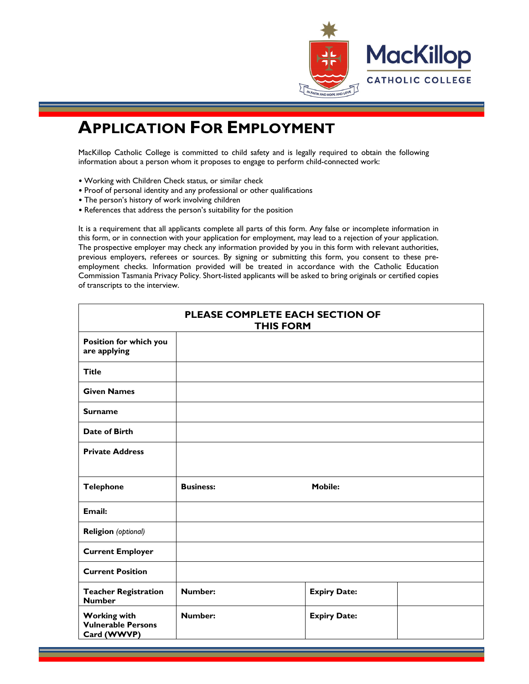

# **APPLICATION FOR EMPLOYMENT**

MacKillop Catholic College is committed to child safety and is legally required to obtain the following information about a person whom it proposes to engage to perform child-connected work:

- Working with Children Check status, or similar check
- Proof of personal identity and any professional or other qualifications
- The person's history of work involving children
- References that address the person's suitability for the position

It is a requirement that all applicants complete all parts of this form. Any false or incomplete information in this form, or in connection with your application for employment, may lead to a rejection of your application. The prospective employer may check any information provided by you in this form with relevant authorities, previous employers, referees or sources. By signing or submitting this form, you consent to these preemployment checks. Information provided will be treated in accordance with the Catholic Education Commission Tasmania Privacy Policy. Short-listed applicants will be asked to bring originals or certified copies of transcripts to the interview.

|                                                                 | <b>PLEASE COMPLETE EACH SECTION OF</b><br><b>THIS FORM</b> |                     |  |
|-----------------------------------------------------------------|------------------------------------------------------------|---------------------|--|
| Position for which you<br>are applying                          |                                                            |                     |  |
| <b>Title</b>                                                    |                                                            |                     |  |
| <b>Given Names</b>                                              |                                                            |                     |  |
| <b>Surname</b>                                                  |                                                            |                     |  |
| Date of Birth                                                   |                                                            |                     |  |
| <b>Private Address</b>                                          |                                                            |                     |  |
| <b>Telephone</b>                                                | <b>Business:</b>                                           | <b>Mobile:</b>      |  |
| Email:                                                          |                                                            |                     |  |
| <b>Religion</b> (optional)                                      |                                                            |                     |  |
| <b>Current Employer</b>                                         |                                                            |                     |  |
| <b>Current Position</b>                                         |                                                            |                     |  |
| <b>Teacher Registration</b><br><b>Number</b>                    | <b>Number:</b>                                             | <b>Expiry Date:</b> |  |
| <b>Working with</b><br><b>Vulnerable Persons</b><br>Card (WWVP) | <b>Number:</b>                                             | <b>Expiry Date:</b> |  |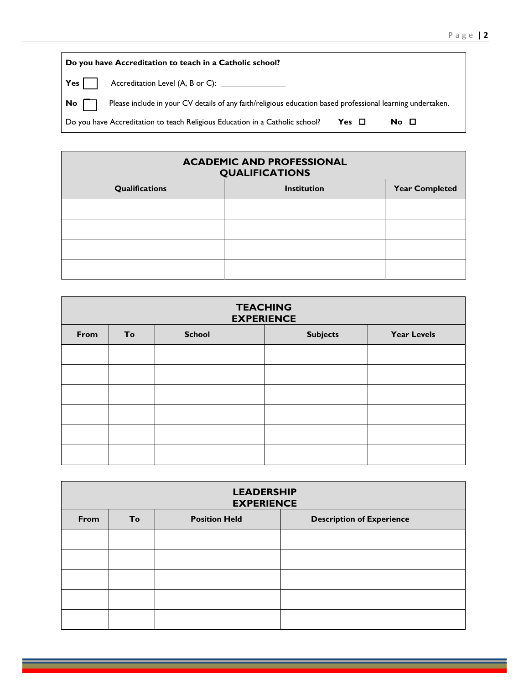| Do you have Accreditation to teach in a Catholic school?                                                                |  |  |
|-------------------------------------------------------------------------------------------------------------------------|--|--|
| $Yes$                                                                                                                   |  |  |
| $No \Box$<br>Please include in your CV details of any faith/religious education based professional learning undertaken. |  |  |
| Do you have Accreditation to teach Religious Education in a Catholic school?<br>$Yes \Box$<br>No <sub>1</sub>           |  |  |

|                                      | <b>ACADEMIC AND PROFESSIONAL</b><br><b>QUALIFICATIONS</b> |                       |
|--------------------------------------|-----------------------------------------------------------|-----------------------|
| Qualifications<br><b>Institution</b> |                                                           | <b>Year Completed</b> |
|                                      |                                                           |                       |
|                                      |                                                           |                       |
|                                      |                                                           |                       |
|                                      |                                                           |                       |

|      |    |               | <b>TEACHING</b><br><b>EXPERIENCE</b> |                    |
|------|----|---------------|--------------------------------------|--------------------|
| From | To | <b>School</b> | <b>Subjects</b>                      | <b>Year Levels</b> |
|      |    |               |                                      |                    |
|      |    |               |                                      |                    |
|      |    |               |                                      |                    |
|      |    |               |                                      |                    |
|      |    |               |                                      |                    |
|      |    |               |                                      |                    |

| <b>LEADERSHIP</b><br><b>EXPERIENCE</b> |           |                      |                                  |
|----------------------------------------|-----------|----------------------|----------------------------------|
| <b>From</b>                            | <b>To</b> | <b>Position Held</b> | <b>Description of Experience</b> |
|                                        |           |                      |                                  |
|                                        |           |                      |                                  |
|                                        |           |                      |                                  |
|                                        |           |                      |                                  |
|                                        |           |                      |                                  |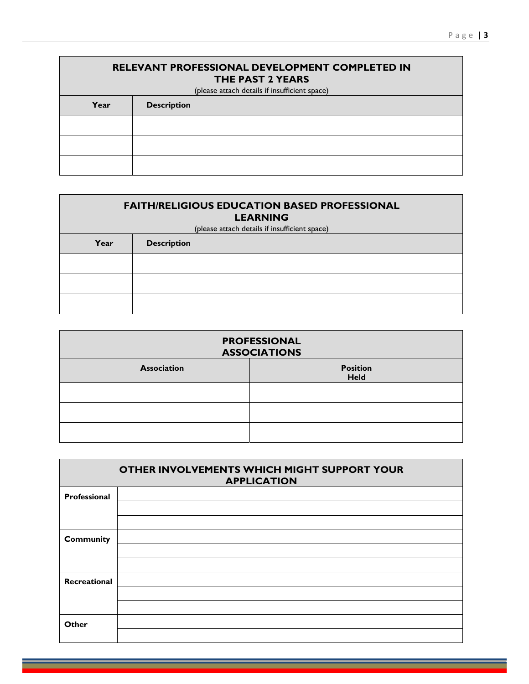| <b>RELEVANT PROFESSIONAL DEVELOPMENT COMPLETED IN</b><br><b>THE PAST 2 YEARS</b><br>(please attach details if insufficient space) |                    |  |
|-----------------------------------------------------------------------------------------------------------------------------------|--------------------|--|
| Year                                                                                                                              | <b>Description</b> |  |
|                                                                                                                                   |                    |  |
|                                                                                                                                   |                    |  |
|                                                                                                                                   |                    |  |

| <b>FAITH/RELIGIOUS EDUCATION BASED PROFESSIONAL</b><br><b>LEARNING</b><br>(please attach details if insufficient space) |                    |  |
|-------------------------------------------------------------------------------------------------------------------------|--------------------|--|
| Year                                                                                                                    | <b>Description</b> |  |
|                                                                                                                         |                    |  |
|                                                                                                                         |                    |  |
|                                                                                                                         |                    |  |

| <b>PROFESSIONAL</b><br><b>ASSOCIATIONS</b> |                                |  |
|--------------------------------------------|--------------------------------|--|
| <b>Association</b>                         | <b>Position</b><br><b>Held</b> |  |
|                                            |                                |  |
|                                            |                                |  |
|                                            |                                |  |

|                  | OTHER INVOLVEMENTS WHICH MIGHT SUPPORT YOUR<br><b>APPLICATION</b> |
|------------------|-------------------------------------------------------------------|
| Professional     |                                                                   |
|                  |                                                                   |
|                  |                                                                   |
| <b>Community</b> |                                                                   |
|                  |                                                                   |
|                  |                                                                   |
| Recreational     |                                                                   |
|                  |                                                                   |
|                  |                                                                   |
| Other            |                                                                   |
|                  |                                                                   |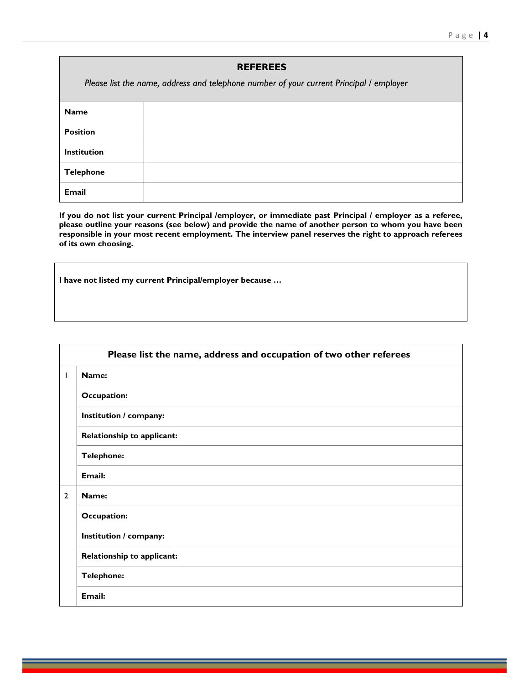#### **REFEREES**

*Please list the name, address and telephone number of your current Principal / employer* 

| <b>Name</b>      |  |
|------------------|--|
| <b>Position</b>  |  |
| Institution      |  |
| <b>Telephone</b> |  |
| Email            |  |

**If you do not list your current Principal /employer, or immediate past Principal / employer as a referee, please outline your reasons (see below) and provide the name of another person to whom you have been responsible in your most recent employment. The interview panel reserves the right to approach referees of its own choosing.** 

**I have not listed my current Principal/employer because …** 

| Please list the name, address and occupation of two other referees |                            |  |
|--------------------------------------------------------------------|----------------------------|--|
| T                                                                  | Name:                      |  |
|                                                                    | <b>Occupation:</b>         |  |
|                                                                    | Institution / company:     |  |
|                                                                    | Relationship to applicant: |  |
|                                                                    | <b>Telephone:</b>          |  |
|                                                                    | Email:                     |  |
| $\overline{2}$                                                     | Name:                      |  |
|                                                                    | <b>Occupation:</b>         |  |
|                                                                    | Institution / company:     |  |
|                                                                    | Relationship to applicant: |  |
|                                                                    | <b>Telephone:</b>          |  |
|                                                                    | Email:                     |  |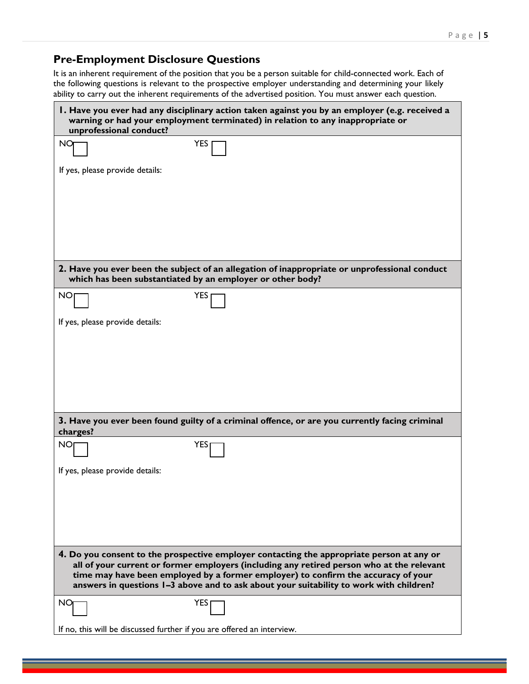## **Pre-Employment Disclosure Questions**

It is an inherent requirement of the position that you be a person suitable for child-connected work. Each of the following questions is relevant to the prospective employer understanding and determining your likely ability to carry out the inherent requirements of the advertised position. You must answer each question.

| I. Have you ever had any disciplinary action taken against you by an employer (e.g. received a<br>warning or had your employment terminated) in relation to any inappropriate or<br>unprofessional conduct?                                                                                                                                                            |  |  |
|------------------------------------------------------------------------------------------------------------------------------------------------------------------------------------------------------------------------------------------------------------------------------------------------------------------------------------------------------------------------|--|--|
| <b>NO</b><br><b>YES</b>                                                                                                                                                                                                                                                                                                                                                |  |  |
| If yes, please provide details:                                                                                                                                                                                                                                                                                                                                        |  |  |
|                                                                                                                                                                                                                                                                                                                                                                        |  |  |
|                                                                                                                                                                                                                                                                                                                                                                        |  |  |
|                                                                                                                                                                                                                                                                                                                                                                        |  |  |
|                                                                                                                                                                                                                                                                                                                                                                        |  |  |
| 2. Have you ever been the subject of an allegation of inappropriate or unprofessional conduct<br>which has been substantiated by an employer or other body?                                                                                                                                                                                                            |  |  |
| NO.<br><b>YES</b>                                                                                                                                                                                                                                                                                                                                                      |  |  |
| If yes, please provide details:                                                                                                                                                                                                                                                                                                                                        |  |  |
|                                                                                                                                                                                                                                                                                                                                                                        |  |  |
|                                                                                                                                                                                                                                                                                                                                                                        |  |  |
|                                                                                                                                                                                                                                                                                                                                                                        |  |  |
|                                                                                                                                                                                                                                                                                                                                                                        |  |  |
| 3. Have you ever been found guilty of a criminal offence, or are you currently facing criminal<br>charges?                                                                                                                                                                                                                                                             |  |  |
| <b>NO</b><br><b>YES</b>                                                                                                                                                                                                                                                                                                                                                |  |  |
| If yes, please provide details:                                                                                                                                                                                                                                                                                                                                        |  |  |
|                                                                                                                                                                                                                                                                                                                                                                        |  |  |
|                                                                                                                                                                                                                                                                                                                                                                        |  |  |
|                                                                                                                                                                                                                                                                                                                                                                        |  |  |
| 4. Do you consent to the prospective employer contacting the appropriate person at any or<br>all of your current or former employers (including any retired person who at the relevant<br>time may have been employed by a former employer) to confirm the accuracy of your<br>answers in questions 1-3 above and to ask about your suitability to work with children? |  |  |
| YES <sub>I</sub><br><b>NO</b>                                                                                                                                                                                                                                                                                                                                          |  |  |
| If no, this will be discussed further if you are offered an interview.                                                                                                                                                                                                                                                                                                 |  |  |